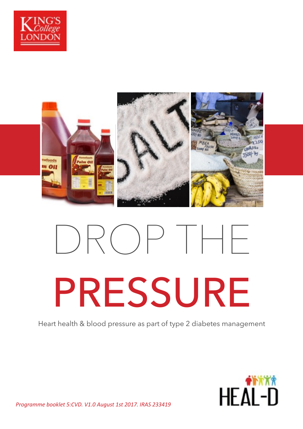



# DROP THE PRESSURE

Heart health & blood pressure as part of type 2 diabetes management



*Programme booklet 5:CVD. V1.0 August 1st 2017. IRAS 233419*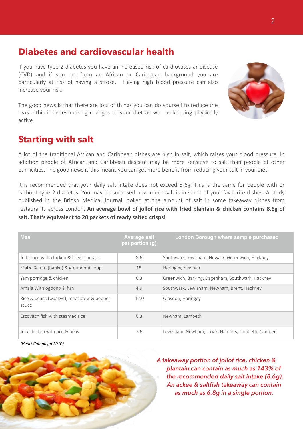# **Diabetes and cardiovascular health**

If you have type 2 diabetes you have an increased risk of cardiovascular disease (CVD) and if you are from an African or Caribbean background you are particularly at risk of having a stroke. Having high blood pressure can also increase your risk.

The good news is that there are lots of things you can do yourself to reduce the risks - this includes making changes to your diet as well as keeping physically active.

# **Starting with salt**

A lot of the traditional African and Caribbean dishes are high in salt, which raises your blood pressure. In addition people of African and Caribbean descent may be more sensitive to salt than people of other ethnicities. The good news is this means you can get more benefit from reducing your salt in your diet.

It is recommended that your daily salt intake does not exceed 5-6g. This is the same for people with or without type 2 diabetes. You may be surprised how much salt is in some of your favourite dishes. A study published in the British Medical Journal looked at the amount of salt in some takeaway dishes from restaurants across London. An average bowl of jollof rice with fried plantain & chicken contains 8.6g of salt. That's equivalent to 20 packets of ready salted crisps!

| <b>Meal</b>                                        | <b>Average salt</b><br>per portion (g) | London Borough where sample purchased            |
|----------------------------------------------------|----------------------------------------|--------------------------------------------------|
| Jollof rice with chicken & fried plantain          | 8.6                                    | Southwark, lewisham, Newark, Greenwich, Hackney  |
| Maize & fufu (banku) & groundnut soup              | 15                                     | Haringey, Newham                                 |
| Yam porridge & chicken                             | 6.3                                    | Greenwich, Barking, Dagenham, Southwark, Hackney |
| Amala With ogbono & fish                           | 4.9                                    | Southwark, Lewisham, Newham, Brent, Hackney      |
| Rice & beans (waakye), meat stew & pepper<br>sauce | 12.0                                   | Croydon, Haringey                                |
| Escovitch fish with steamed rice                   | 6.3                                    | Newham, Lambeth                                  |
| Jerk chicken with rice & peas                      | 7.6                                    | Lewisham, Newham, Tower Hamlets, Lambeth, Camden |

*(Heart Campaign 2010)* 



*A takeaway portion of jollof rice, chicken & plantain can contain as much as 143% of the recommended daily salt intake (8.6g). An ackee & saltfish takeaway can contain as much as 6.8g in a single portion.*

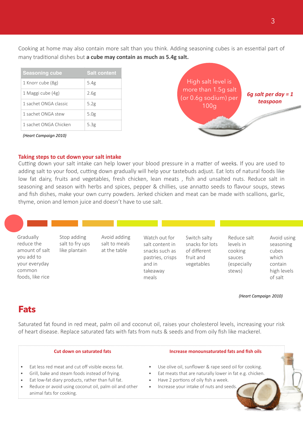Cooking at home may also contain more salt than you think. Adding seasoning cubes is an essential part of many traditional dishes but **a cube may contain as much as 5.4g salt.** 

| <b>Seasoning cube</b> | <b>Salt content</b> |
|-----------------------|---------------------|
| 1 Knorr cube (8g)     | 5.4g                |
| 1 Maggi cube (4g)     | 2.6g                |
| 1 sachet ONGA classic | 5.2g                |
| 1 sachet ONGA stew    | 5.0g                |
| 1 sachet ONGA Chicken | 5.3g                |

*(Heart Campaign 2010)* 

# High salt level is more than 1.5g salt (or 0.6g sodium) per 100g *6g salt per day = 1 teaspoon*

### **Taking steps to cut down your salt intake**

Cutting down your salt intake can help lower your blood pressure in a matter of weeks. If you are used to adding salt to your food, cutting down gradually will help your tastebuds adjust. Eat lots of natural foods like low fat dairy, fruits and vegetables, fresh chicken, lean meats , fish and unsalted nuts. Reduce salt in seasoning and season with herbs and spices, pepper & chillies, use annatto seeds to flavour soups, stews and fish dishes, make your own curry powders. Jerked chicken and meat can be made with scallions, garlic, thyme, onion and lemon juice and doesn't have to use salt.

Gradually reduce the amount of salt you add to your everyday common foods, like rice Stop adding salt to fry ups like plantain Avoid adding salt to meals at the table Watch out for salt content in snacks such as pastries, crisps and in takeaway meals Switch salty snacks for lots of different fruit and vegetables Reduce salt levels in cooking sauces (especially stews) Avoid using seasoning cubes which contain high levels of salt

### *(Heart Campaign 2010)*

# **Fats**

Saturated fat found in red meat, palm oil and coconut oil, raises your cholesterol levels, increasing your risk of heart disease. Replace saturated fats with fats from nuts & seeds and from oily fish like mackerel.

- Eat less red meat and cut off visible excess fat.
- Grill, bake and steam foods instead of frying.
- Eat low-fat diary products, rather than full fat.
- Reduce or avoid using coconut oil, palm oil and other animal fats for cooking.

### **Cut down on saturated fats Increase monounsaturated fats and fish oils**

- Use olive oil, sunflower & rape seed oil for cooking.
- Eat meats that are naturally lower in fat e.g. chicken.
- Have 2 portions of oily fish a week.
- Increase your intake of nuts and seeds.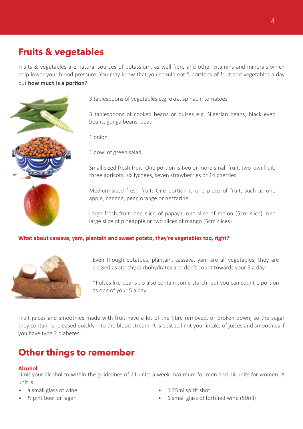# **Fruits & vegetables**

Fruits & vegetables are natural sources of potassium, as well fibre and other vitamins and minerals which help lower your blood pressure. You may know that you should eat 5 portions of fruit and vegetables a day but **how much is a portion?** 



3 tablespoons of vegetables e.g. okra, spinach, tomatoes

3 tablespoons of cooked beans or pulses e.g. Nigerian beans, black eyed beans, gunga beans, peas

1 onion

1 bowl of green salad

Small-sized fresh fruit: One portion is two or more small fruit, two kiwi fruit, three apricots, six lychees, seven strawberries or 14 cherries

Medium-sized fresh fruit: One portion is one piece of fruit, such as one apple, banana, pear, orange or nectarine

Large fresh fruit: one slice of papaya, one slice of melon (5cm slice), one large slice of pineapple or two slices of mango (5cm slices)

## What about cassava, yam, plantain and sweet potato, they're vegetables too, right?



Even though potatoes, plantain, cassava, yam are all vegetables, they are classed as starchy carbohydrates and don't count towards your 5 a day.

\*Pulses like beans do also contain some starch, but you can count 1 portion as one of your 5 a day.

Fruit juices and smoothies made with fruit have a lot of the fibre removed, or broken down, so the sugar they contain is released quickly into the blood stream. It is best to limit your intake of juices and smoothies if you have type 2 diabetes.

# **Other things to remember**

### **Alcohol**

Limit your alcohol to within the guidelines of 21 units a week maximum for men and 14 units for women. A unit is:

- a small glass of wine
- ½ pint beer or lager
- 1 25ml spirit shot
- 1 small glass of fortified wine (50ml)